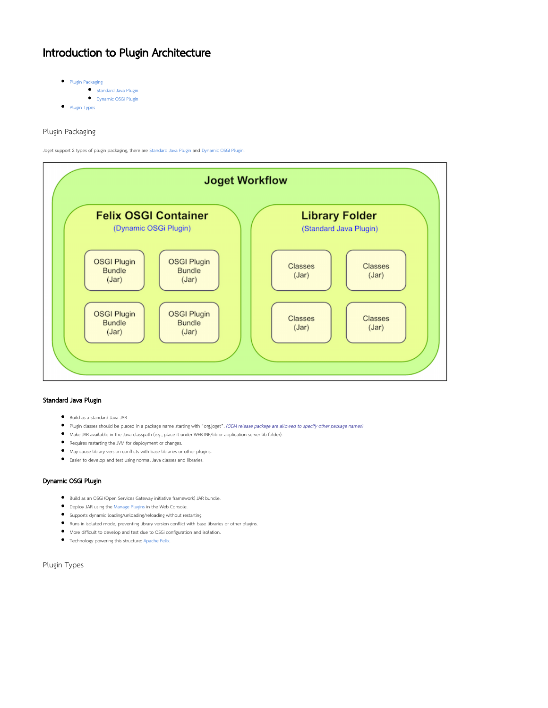## Introduction to Plugin Architecture

- [Plugin Packaging](#page-0-0)
	- **[Standard Java Plugin](#page-0-1)**
	- [Dynamic OSGi Plugin](#page-0-2)
- [Plugin Types](#page-0-3)

<span id="page-0-0"></span>Plugin Packaging

Joget support 2 types of plugin packaging, there are [Standard Java Plugin](#page-0-1) and [Dynamic OSGI Plugin](#page-0-2).



## <span id="page-0-1"></span>Standard Java Plugin

- Build as a standard Java JAR
- Plugin classes should be placed in a package name starting with "org.joget". (OEM release package are allowed to specify other package names)
- Make JAR available in the Java classpath (e.g., place it under WEB-INF/lib or application server lib folder).
- Requires restarting the JVM for deployment or changes.
- May cause library version conflicts with base libraries or other plugins.
- Easier to develop and test using normal Java classes and libraries.

## <span id="page-0-2"></span>Dynamic OSGi Plugin

- Build as an OSGi (Open Services Gateway initiative framework) JAR bundle.
- Deploy JAR using the [Manage Plugins](https://dev.joget.org/community/display/KBv5/Manage+Plugins) in the Web Console.
- Supports dynamic loading/unloading/reloading without restarting.
- Runs in isolated mode, preventing library version conflict with base libraries or other plugins.
- More difficult to develop and test due to OSGi configuration and isolation.
- Technology powering this structure: [Apache Felix](http://felix.apache.org/).

<span id="page-0-3"></span>Plugin Types